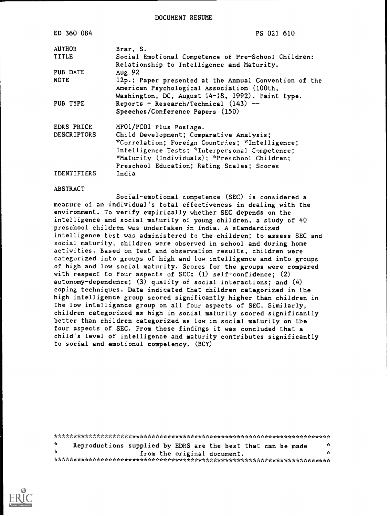DOCUMENT RESUME

| ED 360 084         | PS 021 610                                                                                          |
|--------------------|-----------------------------------------------------------------------------------------------------|
| <b>AUTHOR</b>      | Brar, S.                                                                                            |
| TITLE              | Social Emotional Competence of Pre-School Children:                                                 |
|                    | Relationship to Intelligence and Maturity.                                                          |
| PUB DATE           | Aug $92$                                                                                            |
| NOTE               | 12p.; Paper presented at the Annual Convention of the<br>American Psychological Association (100th, |
|                    | Washington, DC, August 14-18, 1992). Faint type.                                                    |
| PUB TYPE           | Reports - Research/Technical $(143)$ --                                                             |
|                    | Speeches/Conference Papers (150)                                                                    |
| EDRS PRICE         | MF01/PC01 Plus Postage.                                                                             |
| <b>DESCRIPTORS</b> | Child Development; Comparative Analysis;                                                            |
|                    | *Correlation; Foreign Countries; *Intelligence;                                                     |
|                    | Intelligence Tests; *Interpersonal Competence;                                                      |
|                    | *Maturity (Individuals); *Preschool Children;                                                       |
|                    | Preschool Education; Rating Scales; Scores                                                          |
| <b>IDENTIFIERS</b> | India                                                                                               |

#### ABSTRACT

Social-emotional competence (SEC) is considered a measure of an individual's total effectiveness in dealing with the environment. To verify empirically whether SEC depends on the intelligence and social maturity of young children, a study of 40 preschool children was undertaken in India. A standardized intelligence test was administered to the children; to assess SEC and social maturity, children were observed in school and during home activities. Based on test and observation results, children were categorized into groups of high and low intelligence and into groups of high and low social maturity. Scores for the groups were compared with respect to four aspects of SEC: (1) self-confidence; (2) autonomy-dependence;  $(3)$  quality of social interactions; and  $(4)$ coping techniques. Data indicated that children categorized in the high intelligence group scored significantly higher than children in the low intelligence group on all four aspects of SEC. Similarly, children categorized as high in social maturity scored significantly better than children categorized as low in social maturity on the four aspects of SEC. From these findings it was concluded that a child's level of intelligence and maturity contributes significantly to social and emotional competency. (BCY)

\*\*\*\*\*\*\*\*\*\*\*\*\*\*\*\*\*\*\*\*\*\*\*\*\*\*\*\*\*\*\*\*\*\*\*\*\*\*\*\*\*\*\*\*\*\*\*\*\*\*\*\*\*\*\*\*\*\*\*\*\*\*\*\*\*\*\*\*\*\*\*  $\chi$ Reproductions supplied by EDRS are the best that can be made \* from the original document. \*\*\*\*\*\*\*\*\*\*\*\*\*\*\*\*\*\*\*\*\*\*\*\*\*\*\*\*\*\*\*\*\*\*\*\*\*\*\*\*\*\*\*\*\*\*\*\*\*\*\*\*\*\*\*\*\*\*\*\*\*\*\*\*\*\*\*\*\*\*\*

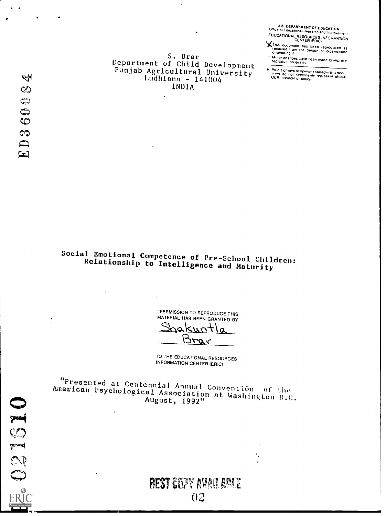U S. DEPARTMENT OF EDUCATION<br>Office of Educations! Research and Improvement EDUCATIONAL RESOURCES INFORMATION

X This document has been reproduced as<br>received from the person or organization<br>originating it

The Contract of the been made to improve<br>reproduction quality

-<br>- Points of view or opinions stated in this document do not necessarily represent official<br>- OERI position or policy

S. Brar Department of Child Development Punjab Agricultural University<br>Ludhiana - 141004 INDIA

Social Emotional Competence of Pre-School Children: Relationship to Intelligence and Maturity

> "PERMISSION TO REPRODUCE THIS MATERIAL HAS BEEN GRANTED BY

hakun ᢣ n Brar

TO THE EDUCATIONAL RESOURCES **INFORMATION CENTER (ERIC)."** 

"Presented at Centennial Annual Convention of the<br>American Psychological Association at Washington D.C. August, 1992"

# **BEST COPY AVAILABLE** 02

 $\mathbb{F}_2$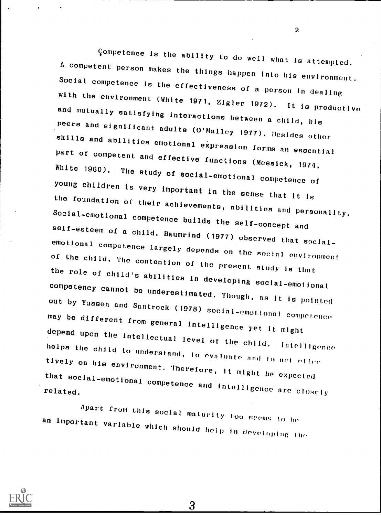Competence is the ability to do well what is attempted.<br>A competent person makes the things happen into his environment.<br>Social competence is the effectiveness of a person in dealing<br>with the environment (White 1971, Zigle peers and significant adults (O'Malley 1977). Besides other<br>skills and abilities emotional expression forms an essential<br>part of competent and effective functions (Messick, 1974,<br>White 1960). The study of social-emotional the foundation of their achievements, abilities and personality.<br>Social-emotional competence builds the self-concept and<br>self-esteem of a child. Baumrind (1977) observed that social-<br>emotional competence largely depends on the role of child's abilities in developing social-emotional<br>competency cannot be underestimated. Though, as it is pointed out by Yussen and Santrock (1978) social-emotional competence<br>may be different from general intelligence yet it might<br>depend upon the intellectual level of the child. Intelligence<br>helps the child to understand, to evaluate tively on his environment. Therefore, it might be expected that social-emotional competence and intelligence are closely<br>related.

Apart from this social maturity too seems to be an important variable which should help in developing the



22 - Jan Jawa Barat, Ingles<br>22 - Jan Jawa Barat, Panamana aktor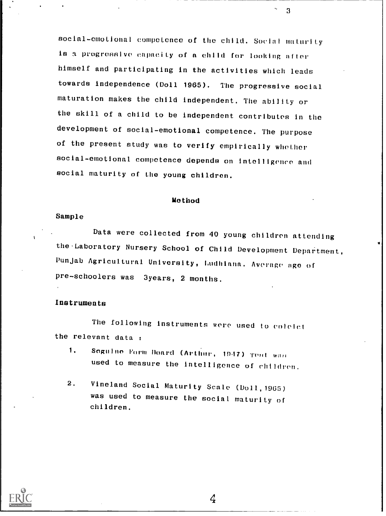social-emotional competence of the child. Social maturity is a progressive capacity of a child for looking after himself and participating in the activities which leads towards independence (Doll 1965). The progressive social maturation makes the child independent. The ability or the skill of a child to be independent contributes in the development of social-emotional competence. The purpose of the present study was to verify empirically whether social-emotional competence depends on intelligence and social maturity of the young children.

### Method

#### Sample

Data were collected from 40 young children attending the Laboratory Nursery School of Child Development Department, Punjab Agricultural University, Ludhiana. Average age of pre-schoolers was 3years, 2 months.

#### Instruments

The following instruments were used to colelet the relevant data :

- 1. Soguine Form Board (Arthur, 1947) Teat wan used to measure the intelligence of children.
- 2. Vineland Social Maturity Scale (D011,1965) was used to measure the social maturity of children.



 $\overline{3}$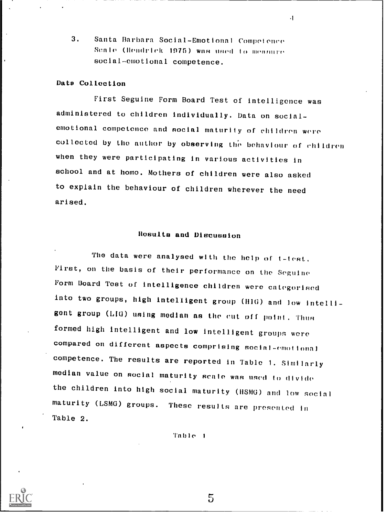3. Santa Barbara Social-Emotional Competence Scale (Hendrick 1975) was used to measure. social-emotional competence.

### Date Collection

First Seguine Form Board Test of intelligence was administered to children individually. Data on socialemotional competence and social maturity of children were collected by the author by observing the behaviour of children when they were participating in various activities in school and at home. Mothers of children were also asked to explain the behaviour of children wherever the need arised.

 $\cdot$ 

## Results and Discussion

The data were analysed with the help of t-test. First, on the basis of their performance on the Seguino Form Board Test of intelligence children were categorised into two groups, high intelligent group (HIG) and low intelligent group (LIG) using median as the cut off point. Thus formed high intelligent and low intelligent groups were compared on different aspects comprising social-emottonal competence. The results are reported in Table 1. Similarly median value on social maturity scale was used to divide the children into high social maturity (HSMG) and low social maturity (LSMG) groups. These results are presented in Table 2.

Table <sup>1</sup>

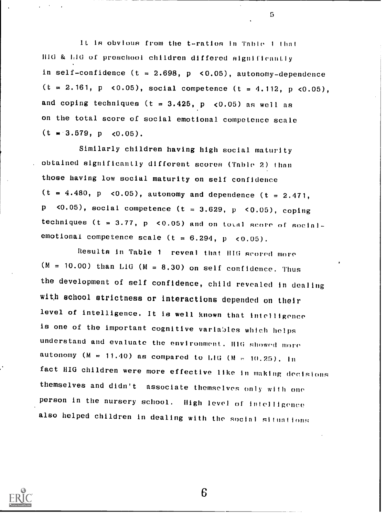1 t is obvious from the t-- ratios in Tnble <sup>t</sup> thnt lila & hla of preschool children differed significantly in self-confidence ( $t = 2.698$ ,  $p \le 0.05$ ), autonomy-dependence  $(t = 2.161, p \le 0.05)$ , social competence  $(t = 4.112, p \le 0.05)$ , and coping techniques ( $t = 3.425$ ,  $p \leq 0.05$ ) as well as on the total score of social emotional competence scale  $(t = 3.579, p \leq 0.05)$ .

Similarly children having high social maturity obtained significantly different scores (Table 2) than those having low social maturity on self confidence  $(t = 4.480, p \le 0.05)$ , autonomy and dependence  $(t = 2.471,$ p <0.05), social competence ( $t = 3.629$ ,  $p$  <0.05), coping techniques (t =  $3.77$ , p < 0.05) and on total score of socialemotional competence scale (t =  $6.294$ , p <  $0.05$ ).

Results in Table <sup>1</sup> reveal that HIG scored more  $(M = 10.00)$  than LIG  $(M = 8.30)$  on self confidence. Thus the development of self confidence, child revealed in dealing with school strictness or interactions depended on their level of intelligence. It is well known that intelligence is one of the important cognitive variables which helps understand and evaluate the environment. H1G showed more autonomy ( $M = 11.40$ ) as compared to LIG ( $M = 10.25$ ). In fact HIG children were more effective like in making decisions themselves and didn't associate themselves only with one person in the nursery school. High level of intelligence also helped children in dealing with the social situations

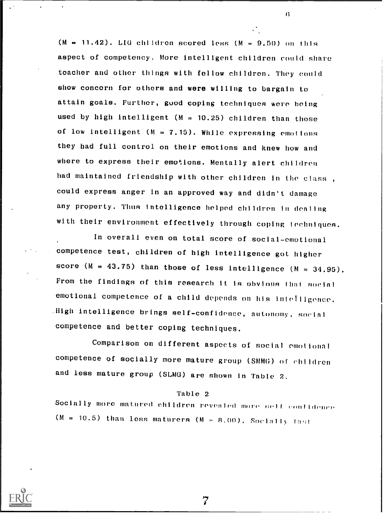(M  $= 11.42$ ). LIG children scored less (M = 9.50) on this aspect of competency. More intelligent children could share toacher and other things with fellow children. They could show concorn for others and were willing to bargain to attain goals. Further, guod coping techniques were being used by high intelligent ( $M = 10.25$ ) children than those of low intelligent ( $M = 7.15$ ). While expressing emotions they had full control on their emotions and knew how and where to express their emotions. Mentally alert children had maintained friendship with other children in the class , could express anger in an approved way and didn't damage any property. Thus Intelligence helped children In denting with their environment effectively through coping techniques.

In overall even on total score of social-emotional competence test, children of high intelligence got higher score ( $M = 43.75$ ) than those of less intelligence ( $M = 34.95$ ). From the findings of this research it is obvious that social emotional competence of a child depends on his intelligence. .High intelligence brings self-confidence, autonomy, sorial competence and better coping techniques.

Comparison on different aspects of social emotional competence of socially more mature group (SMMG) of children and less mature group (SLMG) are shown in Table 2.

#### Table 2

Socially more matured children revealed more self confidence  $(M = 10.5)$  than less maturers  $(M = R, 00)$ . Socially fast



7

 $\overline{6}$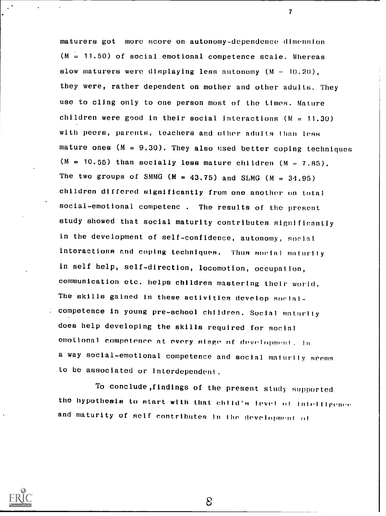maturers got more score on autonomy-dependence dimension  $(M = 11.50)$  of social emotional competence scale. Whereas slow maturers were displaying less autonomy  $(M - 10, 20)$ , they were, rather dependent on mother and other adults, They use to cling only to one person most of the times. Mature children were good in their social interactions  $(M = 11.30)$ with peers, parents, teachers and other adults than less mature ones  $(M = 9.30)$ . They also used better coping techniques  $(M = 10.55)$  than socially less mature children  $(M = 7.85)$ . The two groups of SMMG ( $M = 43.75$ ) and SLMG ( $M = 34.95$ ) children differed significantly from one another on total social-emotional competenc . The results of the present study showed that social maturity contributes significantly in the development of self-confidence, autonomy, social interactions and coping techniques. Thus social maturity in self help, self-direction, locomotion, occupation, communication etc. helps children mastering their world. The skills gained in these activities develop social competence in young pre-school children. Social maturity does help developing the skills required for social emotional competence at every stage of development. In a way social-emotional competence and social maturity seems to be associated or interdependent.

 $\overline{7}$ 

To conclude,findings of the present study supported the hypothesis to start with that child's level of infolligence and maturity of self contributes in the development of

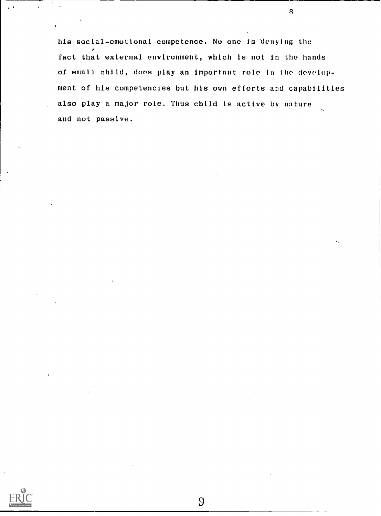his social-emotional competence. No one is denying the fact that external environment, which is not in the hands of small child, does play an important role In the development of his competencies but his own efforts and capabilities also play a major role. Thus child is active by nature and not passive.

 $\overline{B}$ 

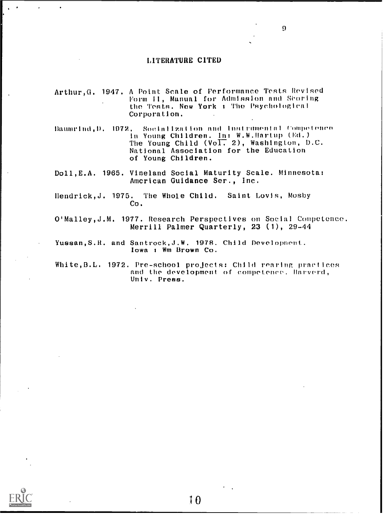#### LITERATURE CITED

- Arthur,G. 1947. A Point Scale of Performance Tests Revised Form II, Manual for Admission and Scoring the Tests. New York <sup>t</sup> The Psychological Corporation.
- Baumrind,D. 1972. Socialization and instrumental Competence In Young Children. In: W.W.Hartup (Ed.) The Young Child (Vol. 2), Washington, D.C. National Association for the Education of Young Children.
- Doll,E.A. 1965. Vineland Social Maturity Scale. Minnesota: American Guidance Ser., Inc.
- Ilendrick,J. 1975. The Whole Child. Saint Lovis, Mosby Co.
- WMalley,J.M. 1977. Research Perspectives on Social Competence. Merrill Palmer Quarterly, 23 (1), 29-44
- Yussan, S.R. and Santrock, J.W. 1978. Child Development. Iowa <sup>r</sup> Wm Brown Co.

White, B.L. 1972. Pre-school projects: Child rearing practices and the development of competence. Harverd, Univ. Press.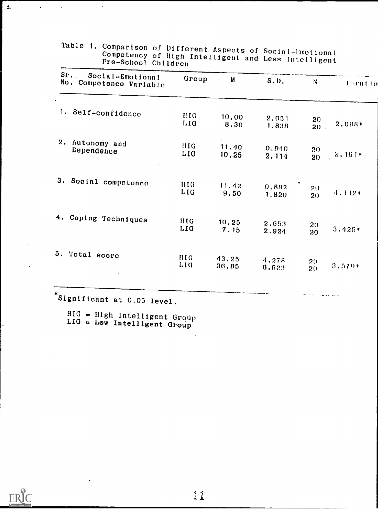| Sr.<br>Social-Emotional<br>No. Competence Variable | Group                                | M              | $S, D$ .       | N                     | terntlo  |
|----------------------------------------------------|--------------------------------------|----------------|----------------|-----------------------|----------|
| 1.<br>Self-confidence                              | HIG.<br>LIG                          | 10.00<br>8.30  | 2.051<br>1.838 | 20<br>$20$ .          | 2.698+   |
| 2.<br>Autonomy and<br>Dependence                   | HIG.<br>LIG                          | 11.40<br>10.25 | 0.940<br>2.114 | 20<br>20              | $2.161*$ |
| 3. Social compotence                               | $\overline{1110}$<br>LIG <sub></sub> | 11.42<br>9.50  | 0.882<br>1.820 | 20 <sub>1</sub><br>20 | $4.112+$ |
| 4.<br>Coping Techniques                            | <b>HIG</b><br>LIG                    | 10.25<br>7.15  | 2.653<br>2.924 | 20<br>20              | $3.425*$ |
| 5.<br>Total score<br>$\pmb{i}$                     | <b>HIG</b><br>L10                    | 43.25<br>36,85 | 4.278<br>6.523 | $20 -$<br>20          | $3.579*$ |

Table 1. Comparison of Different Aspects of Social-Emotional<br>Competency of High Intelligent and Less Intelligent

 $HIG = High Intelligent Group  
LIG = Low Intelligent Group$ 



 $\overline{a}$ 

 $\mathbf{t}_i$ 

 $\hat{\textbf{z}}$ 

 $\overline{\phantom{a}}$ 

 $\cdot$